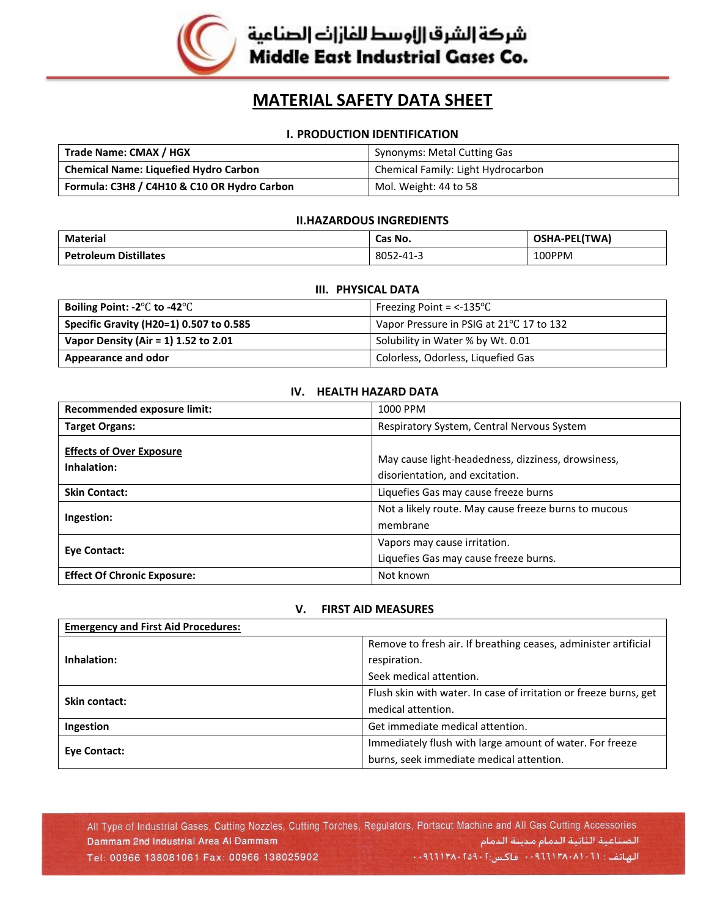

شركة إلشرق الأوسط للفازات الصناعية **Middle East Industrial Gases Co.** 

# **MATERIAL SAFETY DATA SHEET**

## **I. PRODUCTION IDENTIFICATION**

| Trade Name: CMAX / HGX                       | <b>Synonyms: Metal Cutting Gas</b> |
|----------------------------------------------|------------------------------------|
| <b>Chemical Name: Liquefied Hydro Carbon</b> | Chemical Family: Light Hydrocarbon |
| Formula: C3H8 / C4H10 & C10 OR Hydro Carbon  | Mol. Weight: 44 to 58              |

#### **II.HAZARDOUS INGREDIENTS**

| Material                     | Cas No.   | OSHA-PEL(TWA) |
|------------------------------|-----------|---------------|
| <b>Petroleum Distillates</b> | 8052-41-3 | 100PPM        |

# **III. PHYSICAL DATA**

| Boiling Point: -2 $\mathrm{^{\circ}C}$ to -42 $\mathrm{^{\circ}C}$ | Freezing Point = $<$ -135 $\degree$ C    |
|--------------------------------------------------------------------|------------------------------------------|
| Specific Gravity (H20=1) 0.507 to 0.585                            | Vapor Pressure in PSIG at 21°C 17 to 132 |
| Vapor Density (Air = 1) 1.52 to 2.01                               | Solubility in Water % by Wt. 0.01        |
| Appearance and odor                                                | Colorless, Odorless, Liquefied Gas       |

# **IV. HEALTH HAZARD DATA**

| Recommended exposure limit:                    | 1000 PPM                                                                              |
|------------------------------------------------|---------------------------------------------------------------------------------------|
| <b>Target Organs:</b>                          | Respiratory System, Central Nervous System                                            |
| <b>Effects of Over Exposure</b><br>Inhalation: | May cause light-headedness, dizziness, drowsiness,<br>disorientation, and excitation. |
| <b>Skin Contact:</b>                           | Liquefies Gas may cause freeze burns                                                  |
| Ingestion:                                     | Not a likely route. May cause freeze burns to mucous<br>membrane                      |
| Eye Contact:                                   | Vapors may cause irritation.<br>Liquefies Gas may cause freeze burns.                 |
| <b>Effect Of Chronic Exposure:</b>             | Not known                                                                             |

#### **V. FIRST AID MEASURES**

| <b>Emergency and First Aid Procedures:</b> |                                                                   |
|--------------------------------------------|-------------------------------------------------------------------|
| Inhalation:                                | Remove to fresh air. If breathing ceases, administer artificial   |
|                                            | respiration.                                                      |
|                                            | Seek medical attention.                                           |
| <b>Skin contact:</b>                       | Flush skin with water. In case of irritation or freeze burns, get |
|                                            | medical attention.                                                |
| Ingestion                                  | Get immediate medical attention.                                  |
| Eye Contact:                               | Immediately flush with large amount of water. For freeze          |
|                                            | burns, seek immediate medical attention.                          |

All Type of Industrial Gases, Cutting Nozzles, Cutting Torches, Regulators, Portacut Machine and All Gas Cutting Accessories الصناعية الثانية الدمام مدينة الدمام Dammam 2nd Industrial Area Al Dammam الهاتف: ۰۰۹۱۱۱۳۸۰۸۱۰۲۱۱۳۸۰۰ فاکس:۰۹۹۱۱۳۸۰۲۵۹۰۲ Tel: 00966 138081061 Fax: 00966 138025902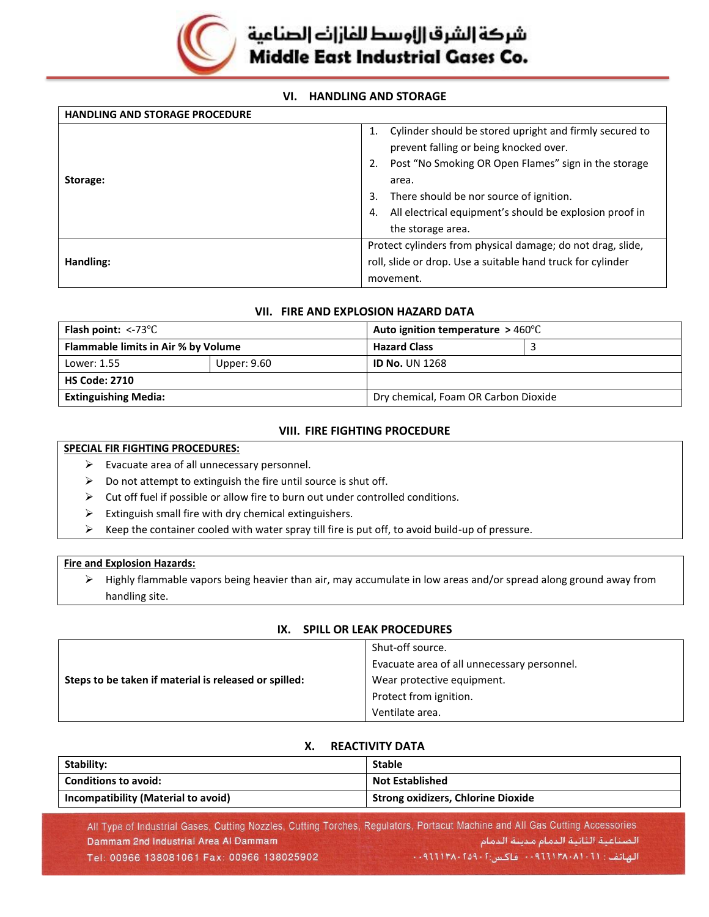

# شركة إلشرق إزاوسط للفازات الصناعية Middle East Industrial Gases Co.

## **VI. HANDLING AND STORAGE**

| <b>HANDLING AND STORAGE PROCEDURE</b> |                                                                                                         |
|---------------------------------------|---------------------------------------------------------------------------------------------------------|
|                                       | Cylinder should be stored upright and firmly secured to<br>1.<br>prevent falling or being knocked over. |
| Storage:                              | Post "No Smoking OR Open Flames" sign in the storage<br>2.<br>area.                                     |
|                                       | There should be nor source of ignition.<br>3.                                                           |
|                                       | All electrical equipment's should be explosion proof in<br>4.                                           |
|                                       | the storage area.                                                                                       |
|                                       | Protect cylinders from physical damage; do not drag, slide,                                             |
| Handling:                             | roll, slide or drop. Use a suitable hand truck for cylinder                                             |
|                                       | movement.                                                                                               |

#### **VII. FIRE AND EXPLOSION HAZARD DATA**

| Flammable limits in Air % by Volume | <b>Hazard Class</b>   |                                                                                    |
|-------------------------------------|-----------------------|------------------------------------------------------------------------------------|
| Upper: 9.60                         | <b>ID No. UN 1268</b> |                                                                                    |
|                                     |                       |                                                                                    |
|                                     |                       |                                                                                    |
|                                     |                       | Auto ignition temperature $>460^{\circ}$ C<br>Dry chemical, Foam OR Carbon Dioxide |

# **VIII. FIRE FIGHTING PROCEDURE**

#### **SPECIAL FIR FIGHTING PROCEDURES:**

- ➢ Evacuate area of all unnecessary personnel.
- $\triangleright$  Do not attempt to extinguish the fire until source is shut off.
- ➢ Cut off fuel if possible or allow fire to burn out under controlled conditions.
- $\triangleright$  Extinguish small fire with dry chemical extinguishers.
- $\triangleright$  Keep the container cooled with water spray till fire is put off, to avoid build-up of pressure.

#### **Fire and Explosion Hazards:**

➢ Highly flammable vapors being heavier than air, may accumulate in low areas and/or spread along ground away from handling site.

| IA.<br><b>SPILL ON LLAN FROCLDONLS</b>      |  |
|---------------------------------------------|--|
| Shut-off source.                            |  |
| Evacuate area of all unnecessary personnel. |  |
| Wear protective equipment.                  |  |
| Protect from ignition.                      |  |
| Ventilate area.                             |  |
|                                             |  |

# **IX. SPILL OR LEAK PROCEDURES**

# **X. REACTIVITY DATA**

| Stability:                          | <b>Stable</b>                             |
|-------------------------------------|-------------------------------------------|
| <b>Conditions to avoid:</b>         | <b>Not Established</b>                    |
| Incompatibility (Material to avoid) | <b>Strong oxidizers, Chlorine Dioxide</b> |

All Type of Industrial Gases, Cutting Nozzles, Cutting Torches, Regulators, Portacut Machine and All Gas Cutting Accessories الصناعية الثانية الدمام مدينة الدمام Dammam 2nd Industrial Area Al Dammam Tel: 00966 138081061 Fax: 00966 138025902 الهاتف: ٠٠٩٦٦١٣٨٠٨١٠٢١١ فاكس:١٠٩٩٦٦١٣٨٠٢٥٩٠٢